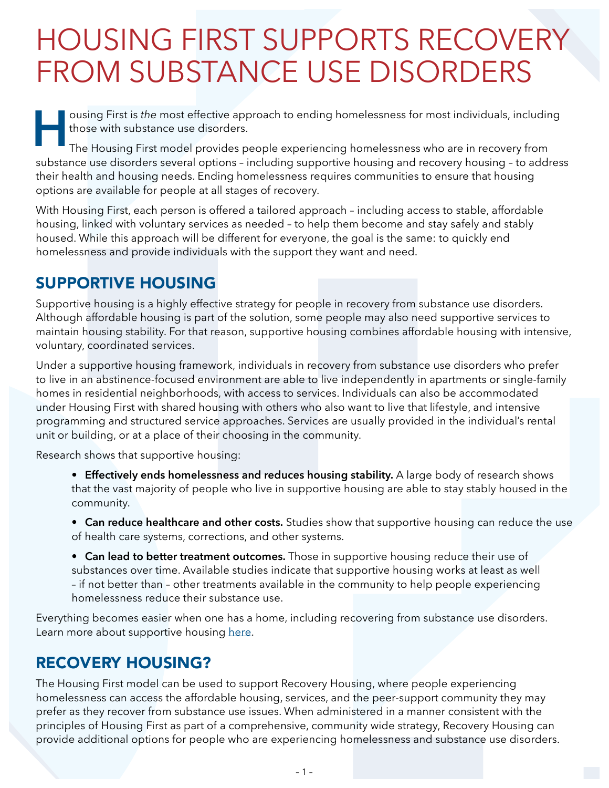## HOUSING FIRST SUPPORTS RECOVERY FROM SUBSTANCE USE DISORDERS

**H** ousing First is *the* most effective approach to ending homelessness for most individuals, including those with substance use disorders.

The Housing First model provides people experiencing homelessness who are in recovery from substance use disorders several options – including supportive housing and recovery housing – to address their health and housing needs. Ending homelessness requires communities to ensure that housing options are available for people at all stages of recovery.

With Housing First, each person is offered a tailored approach – including access to stable, affordable housing, linked with voluntary services as needed – to help them become and stay safely and stably housed. While this approach will be different for everyone, the goal is the same: to quickly end homelessness and provide individuals with the support they want and need.

## SUPPORTIVE HOUSING

Supportive housing is a highly effective strategy for people in recovery from substance use disorders. Although affordable housing is part of the solution, some people may also need supportive services to maintain housing stability. For that reason, supportive housing combines affordable housing with intensive, voluntary, coordinated services.

Under a supportive housing framework, individuals in recovery from substance use disorders who prefer to live in an abstinence-focused environment are able to live independently in apartments or single-family homes in residential neighborhoods, with access to services. Individuals can also be accommodated under Housing First with shared housing with others who also want to live that lifestyle, and intensive programming and structured service approaches. Services are usually provided in the individual's rental unit or building, or at a place of their choosing in the community.

Research shows that supportive housing:

- **• Effectively ends homelessness and reduces housing stability.** A large body of research shows that the vast majority of people who live in supportive housing are able to stay stably housed in the community.
- **• Can reduce healthcare and other costs.** Studies show that supportive housing can reduce the use of health care systems, corrections, and other systems.
- **• Can lead to better treatment outcomes.** Those in supportive housing reduce their use of substances over time. Available studies indicate that supportive housing works at least as well – if not better than – other treatments available in the community to help people experiencing homelessness reduce their substance use.

Everything becomes easier when one has a home, including recovering from substance use disorders. Learn more about supportive housing [here.](https://www.cbpp.org/research/housing/supportive-housing-helps-vulnerable-people-live-and-thrive-in-the-community)

## RECOVERY HOUSING?

The Housing First model can be used to support Recovery Housing, where people experiencing homelessness can access the affordable housing, services, and the peer-support community they may prefer as they recover from substance use issues. When administered in a manner consistent with the principles of Housing First as part of a comprehensive, community wide strategy, Recovery Housing can provide additional options for people who are experiencing homelessness and substance use disorders.